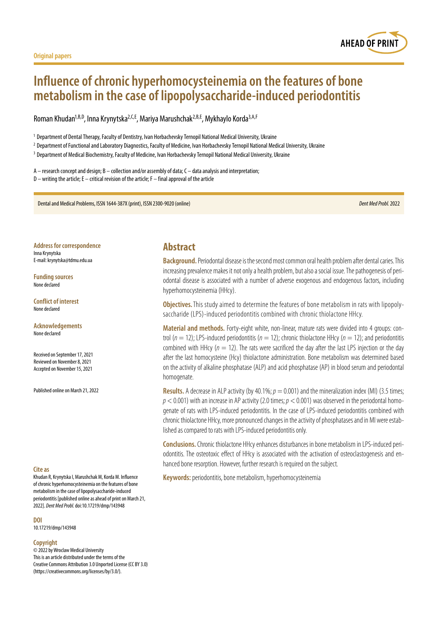

# **Influence of chronic hyperhomocysteinemia on the features of bone metabolism in the case of lipopolysaccharide-induced periodontitis**

Roman Khudan<sup>1,B,D</sup>, Inna Krynytska<sup>2,C,E</sup>, Mariya Marushchak<sup>2,B,E</sup>, Mykhaylo Korda<sup>3,A,F</sup>

<sup>1</sup> Department of Dental Therapy, Faculty of Dentistry, Ivan Horbachevsky Ternopil National Medical University, Ukraine

<sup>2</sup> Department of Functional and Laboratory Diagnostics, Faculty of Medicine, Ivan Horbachevsky Ternopil National Medical University, Ukraine

<sup>3</sup> Department of Medical Biochemistry, Faculty of Medicine, Ivan Horbachevsky Ternopil National Medical University, Ukraine

A – research concept and design; B – collection and/or assembly of data; C – data analysis and interpretation; D – writing the article; E – critical revision of the article; F – final approval of the article

Dental and Medical Problems, ISSN 1644-387X (print), ISSN 2300-9020 (online) *Dent Med Probl.* 2022

**Address for correspondence** Inna Krynytska E-mail: krynytska@tdmu.edu.ua

**Funding sources** None declared

**Conflict of interest** None declared

**Acknowledgements** None declared

Received on September 17, 2021 Reviewed on November 8, 2021 Accepted on November 15, 2021

Published online on March 21, 2022

#### **Cite as**

Khudan R, Krynytska I, Marushchak M, Korda M. Influence of chronic hyperhomocysteinemia on the features of bone metabolism in the case of lipopolysaccharide-induced periodontitis [published online as ahead of print on March 21, 2022]. *Dent Med Probl.* doi:10.17219/dmp/143948

**DOI**

10.17219/dmp/143948

#### **Copyright**

© 2022 by Wroclaw Medical University This is an article distributed under the terms of the Creative Commons Attribution 3.0 Unported License (CC BY 3.0) [\(https://creativecommons.org/licenses/by/3.0/\)](https://creativecommons.org/licenses/by/3.0/).

# **Abstract**

**Background.** Periodontal disease is the second most common oral health problem after dental caries. This increasing prevalence makes it not only a health problem, but also a social issue. The pathogenesis of periodontal disease is associated with a number of adverse exogenous and endogenous factors, including hyperhomocysteinemia (HHcy).

**Objectives.** This study aimed to determine the features of bone metabolism in rats with lipopolysaccharide (LPS)-induced periodontitis combined with chronic thiolactone HHcy.

**Material and methods.** Forty-eight white, non-linear, mature rats were divided into 4 groups: control ( $n = 12$ ); LPS-induced periodontitis ( $n = 12$ ); chronic thiolactone HHcy ( $n = 12$ ); and periodontitis combined with HHcy ( $n = 12$ ). The rats were sacrificed the day after the last LPS injection or the day after the last homocysteine (Hcy) thiolactone administration. Bone metabolism was determined based on the activity of alkaline phosphatase (ALP) and acid phosphatase (AP) in blood serum and periodontal homogenate.

**Results.** A decrease in ALP activity (by 40.1%;  $p = 0.001$ ) and the mineralization index (MI) (3.5 times; *p* < 0.001) with an increase in AP activity (2.0 times; *p* < 0.001) was observed in the periodontal homogenate of rats with LPS-induced periodontitis. In the case of LPS-induced periodontitis combined with chronic thiolactone HHcy, more pronounced changes in the activity of phosphatases and in MI were established as compared to rats with LPS-induced periodontitis only.

**Conclusions.** Chronic thiolactone HHcy enhances disturbances in bone metabolism in LPS-induced periodontitis. The osteotoxic effect of HHcy is associated with the activation of osteoclastogenesis and enhanced bone resorption. However, further research is required on the subject.

**Keywords:** periodontitis, bone metabolism, hyperhomocysteinemia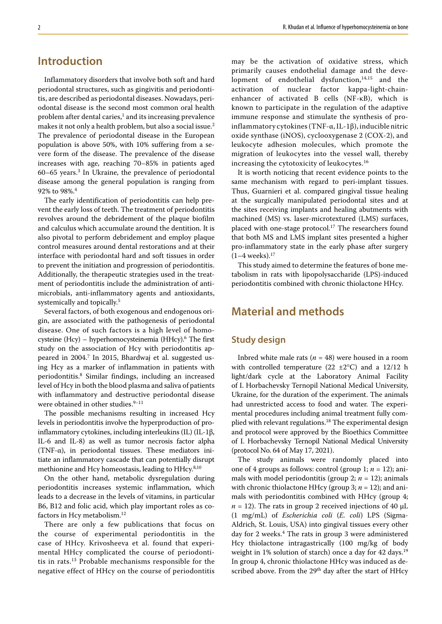# **Introduction**

Inflammatory disorders that involve both soft and hard periodontal structures, such as gingivitis and periodontitis, are described as periodontal diseases. Nowadays, periodontal disease is the second most common oral health problem after dental caries, $^1$  and its increasing prevalence makes it not only a health problem, but also a social issue.<sup>2</sup> The prevalence of periodontal disease in the European population is above 50%, with 10% suffering from a severe form of the disease. The prevalence of the disease increases with age, reaching 70–85% in patients aged 60–65 years.3 In Ukraine, the prevalence of periodontal disease among the general population is ranging from 92% to 98%.<sup>4</sup>

The early identification of periodontitis can help prevent the early loss of teeth. The treatment of periodontitis revolves around the debridement of the plaque biofilm and calculus which accumulate around the dentition. It is also pivotal to perform debridement and employ plaque control measures around dental restorations and at their interface with periodontal hard and soft tissues in order to prevent the initiation and progression of periodontitis. Additionally, the therapeutic strategies used in the treatment of periodontitis include the administration of antimicrobials, anti-inflammatory agents and antioxidants, systemically and topically.5

Several factors, of both exogenous and endogenous origin, are associated with the pathogenesis of periodontal disease. One of such factors is a high level of homocysteine (Hcy) – hyperhomocysteinemia (HHcy).<sup>6</sup> The first study on the association of Hcy with periodontitis appeared in 2004.<sup>7</sup> In 2015, Bhardwaj et al. suggested using Hcy as a marker of inflammation in patients with periodontitis.8 Similar findings, including an increased level of Hcy in both the blood plasma and saliva of patients with inflammatory and destructive periodontal disease were obtained in other studies.<sup>9-11</sup>

The possible mechanisms resulting in increased Hcy levels in periodontitis involve the hyperproduction of proinflammatory cytokines, including interleukins (IL) (IL-1β, IL-6 and IL-8) as well as tumor necrosis factor alpha (TNF- $\alpha$ ), in periodontal tissues. These mediators initiate an inflammatory cascade that can potentially disrupt methionine and Hcy homeostasis, leading to HHcy.<sup>8,10</sup>

On the other hand, metabolic dysregulation during periodontitis increases systemic inflammation, which leads to a decrease in the levels of vitamins, in particular B6, B12 and folic acid, which play important roles as cofactors in Hcy metabolism.<sup>12</sup>

There are only a few publications that focus on the course of experimental periodontitis in the case of HHcy. Krivosheeva et al. found that experimental HHcy complicated the course of periodontitis in rats.13 Probable mechanisms responsible for the negative effect of HHcy on the course of periodontitis may be the activation of oxidative stress, which primarily causes endothelial damage and the development of endothelial dysfunction, $14,15$  and the activation of nuclear factor kappa-light-chainenhancer of activated B cells (NF-κB), which is known to participate in the regulation of the adaptive immune response and stimulate the synthesis of proinflammatory cytokines (TNF-α, IL-1β), inducible nitric oxide synthase (iNOS), cyclooxygenase 2 (COX-2), and leukocyte adhesion molecules, which promote the migration of leukocytes into the vessel wall, thereby increasing the cytotoxicity of leukocytes.<sup>16</sup>

It is worth noticing that recent evidence points to the same mechanism with regard to peri-implant tissues. Thus, Guarnieri et al. compared gingival tissue healing at the surgically manipulated periodontal sites and at the sites receiving implants and healing abutments with machined (MS) vs. laser-microtextured (LMS) surfaces, placed with one-stage protocol.<sup>17</sup> The researchers found that both MS and LMS implant sites presented a higher pro-inflammatory state in the early phase after surgery  $(1-4$  weeks).<sup>17</sup>

This study aimed to determine the features of bone metabolism in rats with lipopolysaccharide (LPS)-induced periodontitis combined with chronic thiolactone HHcy.

# **Material and methods**

### **Study design**

Inbred white male rats ( $n = 48$ ) were housed in a room with controlled temperature (22  $\pm$ 2°C) and a 12/12 h light/dark cycle at the Laboratory Animal Facility of I. Horbachevsky Ternopil National Medical University, Ukraine, for the duration of the experiment. The animals had unrestricted access to food and water. The experimental procedures including animal treatment fully complied with relevant regulations.<sup>18</sup> The experimental design and protocol were approved by the Bioethics Committee of I. Horbachevsky Ternopil National Medical University (protocol No. 64 of May 17, 2021).

The study animals were randomly placed into one of 4 groups as follows: control (group 1; *n* = 12); animals with model periodontitis (group 2;  $n = 12$ ); animals with chronic thiolactone HHcy (group 3; *n* = 12); and animals with periodontitis combined with HHcy (group 4;  $n = 12$ ). The rats in group 2 received injections of 40  $\mu$ L (1 mg/mL) of *Escherichia coli* (*E. coli*) LPS (Sigma-Aldrich, St. Louis, USA) into gingival tissues every other day for 2 weeks.<sup>4</sup> The rats in group 3 were administered Hcy thiolactone intragastrically (100 mg/kg of body weight in 1% solution of starch) once a day for 42 days.19 In group 4, chronic thiolactone HHcy was induced as described above. From the 29<sup>th</sup> day after the start of HHcy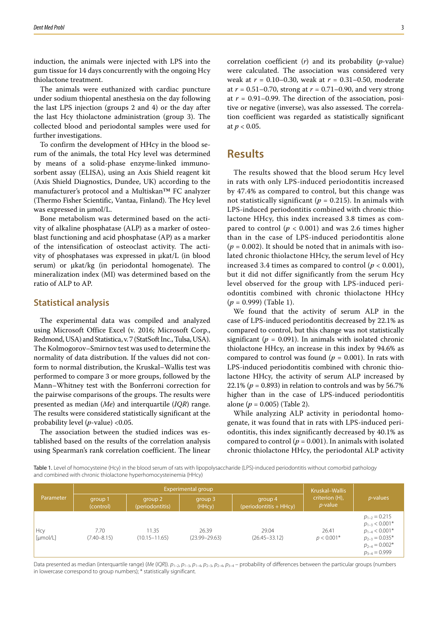induction, the animals were injected with LPS into the gum tissue for 14 days concurrently with the ongoing Hcy thiolactone treatment.

The animals were euthanized with cardiac puncture under sodium thiopental anesthesia on the day following the last LPS injection (groups 2 and 4) or the day after the last Hcy thiolactone administration (group 3). The collected blood and periodontal samples were used for further investigations.

To confirm the development of HHcy in the blood serum of the animals, the total Hcy level was determined by means of a solid-phase enzyme-linked immunosorbent assay (ELISA), using an Axis Shield reagent kit (Axis Shield Diagnostics, Dundee, UK) according to the manufacturer's protocol and a Multiskan™ FC analyzer (Thermo Fisher Scientific, Vantaa, Finland). The Hcy level was expressed in μmol/L.

Bone metabolism was determined based on the activity of alkaline phosphatase (ALP) as a marker of osteoblast functioning and acid phosphatase (AP) as a marker of the intensification of osteoclast activity. The activity of phosphatases was expressed in μkat/L (in blood serum) or μkat/kg (in periodontal homogenate). The mineralization index (MI) was determined based on the ratio of ALP to AP.

### **Statistical analysis**

The experimental data was compiled and analyzed using Microsoft Office Excel (v. 2016; Microsoft Corp., Redmond, USA) and Statistica, v. 7 (StatSoft Inc., Tulsa, USA). The Kolmogorov–Smirnov test was used to determine the normality of data distribution. If the values did not conform to normal distribution, the Kruskal–Wallis test was performed to compare 3 or more groups, followed by the Mann–Whitney test with the Bonferroni correction for the pairwise comparisons of the groups. The results were presented as median (*Me*) and interquartile (*IQR*) range. The results were considered statistically significant at the probability level (*p*-value) <0.05.

The association between the studied indices was established based on the results of the correlation analysis using Spearman's rank correlation coefficient. The linear correlation coefficient (*r*) and its probability (*p*-value) were calculated. The association was considered very weak at *r* = 0.10–0.30, weak at *r* = 0.31–0.50, moderate at *r* = 0.51–0.70, strong at *r* = 0.71–0.90, and very strong at  $r = 0.91 - 0.99$ . The direction of the association, positive or negative (inverse), was also assessed. The correlation coefficient was regarded as statistically significant at *p* < 0.05.

### **Results**

The results showed that the blood serum Hcy level in rats with only LPS-induced periodontitis increased by 47.4% as compared to control, but this change was not statistically significant ( $p = 0.215$ ). In animals with LPS-induced periodontitis combined with chronic thiolactone HHcy, this index increased 3.8 times as compared to control ( $p < 0.001$ ) and was 2.6 times higher than in the case of LPS-induced periodontitis alone  $(p = 0.002)$ . It should be noted that in animals with isolated chronic thiolactone HHcy, the serum level of Hcy increased 3.4 times as compared to control  $(p < 0.001)$ , but it did not differ significantly from the serum Hcy level observed for the group with LPS-induced periodontitis combined with chronic thiolactone HHcy (*p* = 0.999) (Table 1).

We found that the activity of serum ALP in the case of LPS-induced periodontitis decreased by 22.1% as compared to control, but this change was not statistically significant ( $p = 0.091$ ). In animals with isolated chronic thiolactone HHcy, an increase in this index by 94.6% as compared to control was found ( $p = 0.001$ ). In rats with LPS-induced periodontitis combined with chronic thiolactone HHcy, the activity of serum ALP increased by 22.1% ( $p = 0.893$ ) in relation to controls and was by 56.7% higher than in the case of LPS-induced periodontitis alone (*p* = 0.005) (Table 2).

While analyzing ALP activity in periodontal homogenate, it was found that in rats with LPS-induced periodontitis, this index significantly decreased by 40.1% as compared to control  $(p = 0.001)$ . In animals with isolated chronic thiolactone HHcy, the periodontal ALP activity

Table 1. Level of homocysteine (Hcy) in the blood serum of rats with lipopolysaccharide (LPS)-induced periodontitis without comorbid pathology and combined with chronic thiolactone hyperhomocysteinemia (HHcy)

| Parameter       |                         | Experimental group         | Kruskal-Wallis             |                                   |                                   |                                                                                                                                |
|-----------------|-------------------------|----------------------------|----------------------------|-----------------------------------|-----------------------------------|--------------------------------------------------------------------------------------------------------------------------------|
|                 | group 1<br>(control)    | group 2<br>(periodontitis) | group 3<br>(HHcy)          | group 4<br>(periodontitis + HHcy) | criterion (H),<br><i>p</i> -value | $p$ -values                                                                                                                    |
| Hcy<br>[µmol/L] | 7.70<br>$(7.40 - 8.15)$ | 11.35<br>$(10.15 - 11.65)$ | 26.39<br>$(23.99 - 29.63)$ | 29.04<br>$(26.45 - 33.12)$        | 26.41<br>$p < 0.001*$             | $p_{1-2} = 0.215$<br>$p_{1-3}$ < 0.001*<br>$p_{1-4}$ < 0.001*<br>$p_{2-3} = 0.035*$<br>$p_{2-4} = 0.002*$<br>$p_{3-4} = 0.999$ |

Data presented as median (interquartile range) (*Me* (*IQR*)).  $p_{1-2}$ ,  $p_{1-3}$ ,  $p_{1-4}$ ,  $p_{2-3}$ ,  $p_{2-4}$ ,  $p_{3-4}$  – probability of differences between the particular groups (numbers in lowercase correspond to group numbers); \* statistically significant.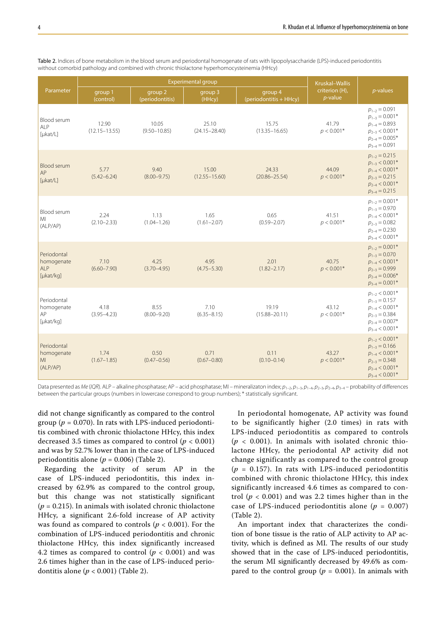| Parameter                                                        |                            | <b>Experimental group</b>  | Kruskal-Wallis             |                                   |                              |                                                                                                                                |
|------------------------------------------------------------------|----------------------------|----------------------------|----------------------------|-----------------------------------|------------------------------|--------------------------------------------------------------------------------------------------------------------------------|
|                                                                  | group 1<br>(control)       | group 2<br>(periodontitis) | group 3<br>(HHcy)          | group 4<br>(periodontitis + HHcy) | criterion (H),<br>$p$ -value | $p$ -values                                                                                                                    |
| Blood serum<br><b>ALP</b><br>[µkat/L]                            | 12.90<br>$(12.15 - 13.55)$ | 10.05<br>$(9.50 - 10.85)$  | 25.10<br>$(24.15 - 28.40)$ | 15.75<br>$(13.35 - 16.65)$        | 41.79<br>$p < 0.001*$        | $p_{1-2} = 0.091$<br>$p_{1-3} = 0.001*$<br>$p_{1-4} = 0.893$<br>$p_{2-3}$ < 0.001*<br>$p_{2-4} = 0.005*$<br>$p_{3-4} = 0.091$  |
| <b>Blood serum</b><br>AP<br>$[\mu$ kat/L]                        | 5.77<br>$(5.42 - 6.24)$    | 9.40<br>$(8.00 - 9.75)$    | 15.00<br>$(12.55 - 15.60)$ | 24.33<br>$(20.86 - 25.54)$        | 44.09<br>$p < 0.001*$        | $p_{1-2} = 0.215$<br>$p_{1-3}$ < 0.001*<br>$p_{1-4}$ < 0.001*<br>$p_{2-3} = 0.215$<br>$p_{2-4}$ < 0.001*<br>$p_{3-4} = 0.215$  |
| Blood serum<br>MI<br>(ALP/AP)                                    | 2.24<br>$(2.10 - 2.33)$    | 1.13<br>$(1.04 - 1.26)$    | 1.65<br>$(1.61 - 2.07)$    | 0.65<br>$(0.59 - 2.07)$           | 41.51<br>$p < 0.001*$        | $p_{1-2} = 0.001*$<br>$p_{1-3} = 0.970$<br>$p_{1-4}$ < 0.001*<br>$p_{2-3} = 0.082$<br>$p_{2-4} = 0.230$<br>$p_{3-4}$ < 0.001*  |
| Periodontal<br>homogenate<br><b>ALP</b><br>$[\mu \text{kat/kg}]$ | 7.10<br>$(6.60 - 7.90)$    | 4.25<br>$(3.70 - 4.95)$    | 4.95<br>$(4.75 - 5.30)$    | 2.01<br>$(1.82 - 2.17)$           | 40.75<br>$p < 0.001*$        | $p_{1-2} = 0.001*$<br>$p_{1-3} = 0.070$<br>$p_{1-4}$ < 0.001*<br>$p_{2-3} = 0.999$<br>$p_{2-4} = 0.006*$<br>$p_{3-4} = 0.001*$ |
| Periodontal<br>homogenate<br>AP<br>[µkat/kg]                     | 4.18<br>$(3.95 - 4.23)$    | 8.55<br>$(8.00 - 9.20)$    | 7.10<br>$(6.35 - 8.15)$    | 19.19<br>$(15.88 - 20.11)$        | 43.12<br>$p < 0.001*$        | $p_{1-2}$ < 0.001*<br>$p_{1-3} = 0.157$<br>$p_{1-4}$ < 0.001*<br>$p_{2-3} = 0.384$<br>$p_{2-4} = 0.007*$<br>$p_{3-4}$ < 0.001* |
| Periodontal<br>homogenate<br>MI<br>(ALP/AP)                      | 1.74<br>$(1.67 - 1.85)$    | 0.50<br>$(0.47 - 0.56)$    | 0.71<br>$(0.67 - 0.80)$    | 0.11<br>$(0.10 - 0.14)$           | 43.27<br>$p < 0.001*$        | $p_{1-2}$ < 0.001*<br>$p_{1-3} = 0.166$<br>$p_{1-4}$ < 0.001*<br>$p_{2-3} = 0.348$<br>$p_{2-4}$ < 0.001*<br>$p_{3-4}$ < 0.001* |

Table 2. Indices of bone metabolism in the blood serum and periodontal homogenate of rats with lipopolysaccharide (LPS)-induced periodontitis without comorbid pathology and combined with chronic thiolactone hyperhomocysteinemia (HHcy)

Data presented as *Me* (*IQR*). ALP – alkaline phosphatase; AP – acid phosphatase; MI – mineralizaton index; *p*1–2, *p*1–3, *p*1–4, *p*2–3, *p*2–4, *p*3–4 – probability of differences between the particular groups (numbers in lowercase correspond to group numbers); \* statistically significant.

did not change significantly as compared to the control group ( $p = 0.070$ ). In rats with LPS-induced periodontitis combined with chronic thiolactone HHcy, this index decreased 3.5 times as compared to control  $(p < 0.001)$ and was by 52.7% lower than in the case of LPS-induced periodontitis alone ( $p = 0.006$ ) (Table 2).

Regarding the activity of serum AP in the case of LPS-induced periodontitis, this index increased by 62.9% as compared to the control group, but this change was not statistically significant  $(p = 0.215)$ . In animals with isolated chronic thiolactone HHcy, a significant 2.6-fold increase of AP activity was found as compared to controls ( $p < 0.001$ ). For the combination of LPS-induced periodontitis and chronic thiolactone HHcy, this index significantly increased 4.2 times as compared to control ( $p < 0.001$ ) and was 2.6 times higher than in the case of LPS-induced periodontitis alone (*p* < 0.001) (Table 2).

In periodontal homogenate, AP activity was found to be significantly higher (2.0 times) in rats with LPS-induced periodontitis as compared to controls  $(p < 0.001)$ . In animals with isolated chronic thiolactone HHcy, the periodontal AP activity did not change significantly as compared to the control group  $(p = 0.157)$ . In rats with LPS-induced periodontitis combined with chronic thiolactone HHcy, this index significantly increased 4.6 times as compared to control ( $p < 0.001$ ) and was 2.2 times higher than in the case of LPS-induced periodontitis alone ( $p = 0.007$ ) (Table 2).

An important index that characterizes the condition of bone tissue is the ratio of ALP activity to AP activity, which is defined as MI. The results of our study showed that in the case of LPS-induced periodontitis, the serum MI significantly decreased by 49.6% as compared to the control group ( $p = 0.001$ ). In animals with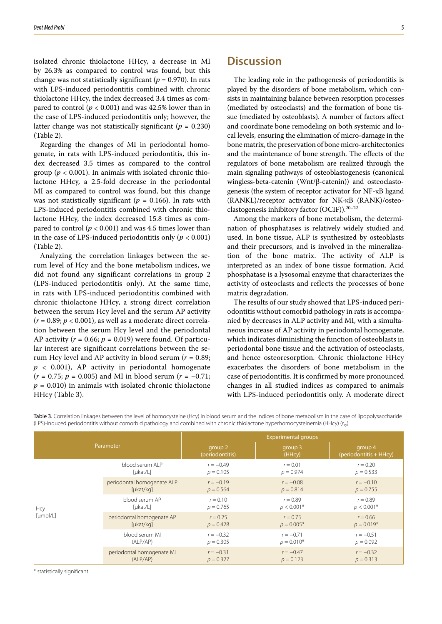isolated chronic thiolactone HHcy, a decrease in MI by 26.3% as compared to control was found, but this change was not statistically significant ( $p = 0.970$ ). In rats with LPS-induced periodontitis combined with chronic thiolactone HHcy, the index decreased 3.4 times as compared to control ( $p < 0.001$ ) and was 42.5% lower than in the case of LPS-induced periodontitis only; however, the latter change was not statistically significant ( $p = 0.230$ ) (Table 2).

Regarding the changes of MI in periodontal homogenate, in rats with LPS-induced periodontitis, this index decreased 3.5 times as compared to the control group ( $p < 0.001$ ). In animals with isolated chronic thiolactone HHcy, a 2.5-fold decrease in the periodontal MI as compared to control was found, but this change was not statistically significant ( $p = 0.166$ ). In rats with LPS-induced periodontitis combined with chronic thiolactone HHcy, the index decreased 15.8 times as compared to control ( $p < 0.001$ ) and was 4.5 times lower than in the case of LPS-induced periodontitis only  $(p < 0.001)$ (Table 2).

Analyzing the correlation linkages between the serum level of Hcy and the bone metabolism indices, we did not found any significant correlations in group 2 (LPS-induced periodontitis only). At the same time, in rats with LPS-induced periodontitis combined with chronic thiolactone HHcy, a strong direct correlation between the serum Hcy level and the serum AP activity  $(r = 0.89; p < 0.001)$ , as well as a moderate direct correlation between the serum Hcy level and the periodontal AP activity  $(r = 0.66; p = 0.019)$  were found. Of particular interest are significant correlations between the serum Hcy level and AP activity in blood serum (*r* = 0.89;  $p$  < 0.001), AP activity in periodontal homogenate (*r* = 0.75; *p* = 0.005) and MI in blood serum (*r* = −0.71;  $p = 0.010$ ) in animals with isolated chronic thiolactone HHcy (Table 3).

The leading role in the pathogenesis of periodontitis is played by the disorders of bone metabolism, which consists in maintaining balance between resorption processes (mediated by osteoclasts) and the formation of bone tissue (mediated by osteoblasts). A number of factors affect and coordinate bone remodeling on both systemic and local levels, ensuring the elimination of micro-damage in the bone matrix, the preservation of bone micro-architectonics and the maintenance of bone strength. The effects of the regulators of bone metabolism are realized through the main signaling pathways of osteoblastogenesis (canonical wingless-beta-catenin (Wnt/β-catenin)) and osteoclastogenesis (the system of receptor activator for NF-κB ligand (RANKL)/receptor activator for NK-κB (RANK)/osteoclastogenesis inhibitory factor (OCIF)).20–22

Among the markers of bone metabolism, the determination of phosphatases is relatively widely studied and used. In bone tissue, ALP is synthesized by osteoblasts and their precursors, and is involved in the mineralization of the bone matrix. The activity of ALP is interpreted as an index of bone tissue formation. Acid phosphatase is a lysosomal enzyme that characterizes the activity of osteoclasts and reflects the processes of bone matrix degradation.

The results of our study showed that LPS-induced periodontitis without comorbid pathology in rats is accompanied by decreases in ALP activity and MI, with a simultaneous increase of AP activity in periodontal homogenate, which indicates diminishing the function of osteoblasts in periodontal bone tissue and the activation of osteoclasts, and hence osteoresorption. Chronic thiolactone HHcy exacerbates the disorders of bone metabolism in the case of periodontitis. It is confirmed by more pronounced changes in all studied indices as compared to animals with LPS-induced periodontitis only. A moderate direct

Parameter Experimental groups group 2 (periodontitis) group 3 (HHcy) group 4 (periodontitis + HHcy) Hcy [µmol/L] blood serum ALP [µkat/L] *r* = −0.49  $p = 0.105$  $r = 0.01$  $p = 0.974$  $r = 0.20$  $p = 0.533$ periodontal homogenate ALP [µkat/kg] *r* = −0.19  $p = 0.564$ *r* = −0.08  $p = 0.814$ *r* = −0.10  $p = 0.755$ blood serum AP [µkat/L]  $r = 0.10$ *p* = 0.765  $r = 0.89$  $p < 0.001*$  $r = 0.89$  $p < 0.001*$ periodontal homogenate AP [ukat/kg]  $r = 0.25$  $p = 0.428$  $r = 0.75$  $p = 0.005*$  $r = 0.66$  $p = 0.019*$ blood serum MI (ALP/AP) *r* = −0.32  $p = 0.305$ *r* = −0.71  $p = 0.010*$ *r* = −0.51 *p* = 0.092 periodontal homogenate MI  $(AIP/AP)$ *r* = −0.31  $p = 0.327$  $r = -0.47$  $p = 0.123$ *r* = −0.32  $p = 0.313$ 

Table 3. Correlation linkages between the level of homocysteine (Hcy) in blood serum and the indices of bone metabolism in the case of lipopolysaccharide (LPS)-induced periodontitis without comorbid pathology and combined with chronic thiolactone hyperhomocysteinemia (HHcy) (*r*xy)

\* statistically significant.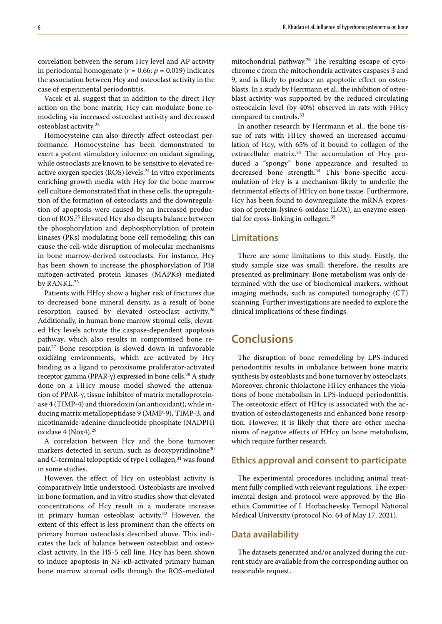correlation between the serum Hcy level and AP activity in periodontal homogenate ( $r = 0.66$ ;  $p = 0.019$ ) indicates the association between Hcy and osteoclast activity in the case of experimental periodontitis.

Vacek et al. suggest that in addition to the direct Hcy action on the bone matrix, Hcy can modulate bone remodeling via increased osteoclast activity and decreased osteoblast activity.23

Homocysteine can also directly affect osteoclast performance. Homocysteine has been demonstrated to exert a potent stimulatory inluence on oxidant signaling, while osteoclasts are known to be sensitive to elevated reactive oxygen species (ROS) levels.<sup>24</sup> In vitro experiments enriching growth media with Hcy for the bone marrow cell culture demonstrated that in these cells, the upregulation of the formation of osteoclasts and the downregulation of apoptosis were caused by an increased production of ROS.25 Elevated Hcy also disrupts balance between the phosphorylation and dephosphorylation of protein kinases (PKs) modulating bone cell remodeling; this can cause the cell-wide disruption of molecular mechanisms in bone marrow-derived osteoclasts. For instance, Hcy has been shown to increase the phosphorylation of P38 mitogen-activated protein kinases (MAPKs) mediated by RANKL.<sup>25</sup>

Patients with HHcy show a higher risk of fractures due to decreased bone mineral density, as a result of bone resorption caused by elevated osteoclast activity.<sup>26</sup> Additionally, in human bone marrow stromal cells, elevated Hcy levels activate the caspase-dependent apoptosis pathway, which also results in compromised bone repair.27 Bone resorption is slowed down in unfavorable oxidizing environments, which are activated by Hcy binding as a ligand to peroxisome proliferator-activated receptor gamma (PPAR-γ) expressed in bone cells.<sup>28</sup> A study done on a HHcy mouse model showed the attenuation of PPAR-γ, tissue inhibitor of matrix metalloproteinase 4 (TIMP-4) and thioredoxin (an antioxidant), while inducing matrix metallopeptidase 9 (MMP-9), TIMP-3, and nicotinamide-adenine dinucleotide phosphate (NADPH) oxidase 4 (Nox4).29

A correlation between Hcy and the bone turnover markers detected in serum, such as deoxypyridinoline<sup>30</sup> and C-terminal telopeptide of type I collagen, $31$  was found in some studies.

However, the effect of Hcy on osteoblast activity is comparatively little understood. Osteoblasts are involved in bone formation, and in vitro studies show that elevated concentrations of Hcy result in a moderate increase in primary human osteoblast activity.32 However, the extent of this effect is less prominent than the effects on primary human osteoclasts described above. This indicates the lack of balance between osteoblast and osteoclast activity. In the HS-5 cell line, Hcy has been shown to induce apoptosis in NF-κB-activated primary human bone marrow stromal cells through the ROS-mediated mitochondrial pathway.26 The resulting escape of cytochrome c from the mitochondria activates caspases 3 and 9, and is likely to produce an apoptotic effect on osteoblasts. In a study by Herrmann et al., the inhibition of osteoblast activity was supported by the reduced circulating osteocalcin level (by 40%) observed in rats with HHcy compared to controls.33

In another research by Herrmann et al., the bone tissue of rats with HHcy showed an increased accumulation of Hcy, with 65% of it bound to collagen of the extracellular matrix.<sup>34</sup> The accumulation of Hcy produced a "spongy" bone appearance and resulted in decreased bone strength.<sup>34</sup> This bone-specific accumulation of Hcy is a mechanism likely to underlie the detrimental effects of HHcy on bone tissue. Furthermore, Hcy has been found to downregulate the mRNA expression of protein-lysine 6-oxidase (LOX), an enzyme essential for cross-linking in collagen.<sup>35</sup>

### **Limitations**

There are some limitations to this study. Firstly, the study sample size was small; therefore, the results are presented as preliminary. Bone metabolism was only determined with the use of biochemical markers, without imaging methods, such as computed tomography (CT) scanning. Further investigations are needed to explore the clinical implications of these findings.

# **Conclusions**

The disruption of bone remodeling by LPS-induced periodontitis results in imbalance between bone matrix synthesis by osteoblasts and bone turnover by osteoclasts. Moreover, chronic thiolactone HHcy enhances the violations of bone metabolism in LPS-induced periodontitis. The osteotoxic effect of HHcy is associated with the activation of osteoclastogenesis and enhanced bone resorption. However, it is likely that there are other mechanisms of negative effects of HHcy on bone metabolism, which require further research.

### **Ethics approval and consent to participate**

The experimental procedures including animal treatment fully complied with relevant regulations. The experimental design and protocol were approved by the Bioethics Committee of I. Horbachevsky Ternopil National Medical University (protocol No. 64 of May 17, 2021).

### **Data availability**

The datasets generated and/or analyzed during the current study are available from the corresponding author on reasonable request.